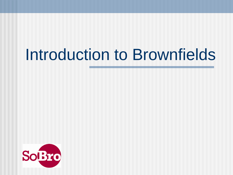# Introduction to Brownfields

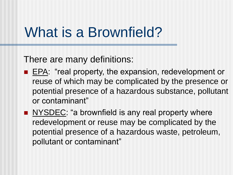## What is a Brownfield?

There are many definitions:

- **EPA:** "real property, the expansion, redevelopment or reuse of which may be complicated by the presence or potential presence of a hazardous substance, pollutant or contaminant"
- NYSOEC: "a brownfield is any real property where redevelopment or reuse may be complicated by the potential presence of a hazardous waste, petroleum, pollutant or contaminant"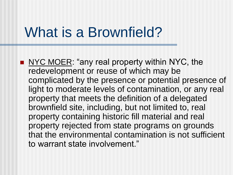### What is a Brownfield?

NYC MOER: "any real property within NYC, the redevelopment or reuse of which may be complicated by the presence or potential presence of light to moderate levels of contamination, or any real property that meets the definition of a delegated brownfield site, including, but not limited to, real property containing historic fill material and real property rejected from state programs on grounds that the environmental contamination is not sufficient to warrant state involvement."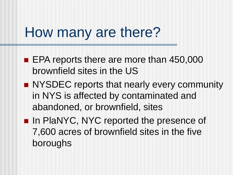### How many are there?

- **EPA reports there are more than 450,000** brownfield sites in the US
- **NYSDEC** reports that nearly every community in NYS is affected by contaminated and abandoned, or brownfield, sites
- In PlaNYC, NYC reported the presence of 7,600 acres of brownfield sites in the five boroughs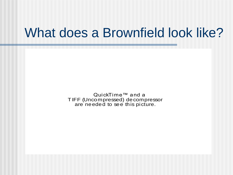#### What does a Brownfield look like?

QuickTime™ and a T IFF (Uncompressed) decompressor are needed to see this picture.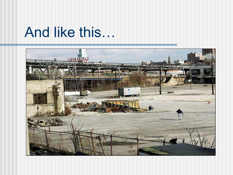### And like this…

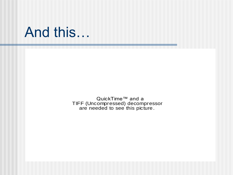#### And this…

QuickTime™ and a TIFF (Uncompressed) decompressor are needed to see this picture.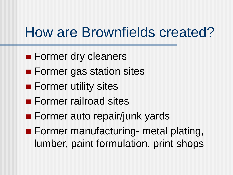# How are Brownfields created?

- **Former dry cleaners**
- **Former gas station sites**
- **Former utility sites**
- **Former railroad sites**
- **Former auto repair/junk yards**
- **Former manufacturing- metal plating,** lumber, paint formulation, print shops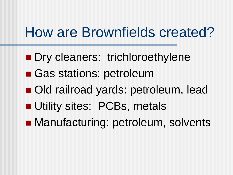## How are Brownfields created?

- **Dry cleaners: trichloroethylene**
- Gas stations: petroleum
- Old railroad yards: petroleum, lead
- **Utility sites: PCBs, metals**
- **Manufacturing: petroleum, solvents**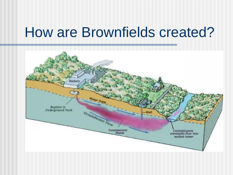### How are Brownfields created?

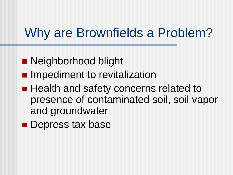#### Why are Brownfields a Problem?

- **Neighborhood blight**
- **Impediment to revitalization**
- **Health and safety concerns related to** presence of contaminated soil, soil vapor and groundwater
- **Depress tax base**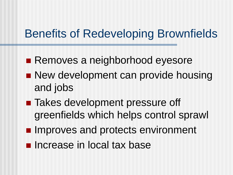#### Benefits of Redeveloping Brownfields

- Removes a neighborhood eyesore
- **New development can provide housing** and jobs
- Takes development pressure off greenfields which helps control sprawl
- **Improves and protects environment**
- **Increase in local tax base**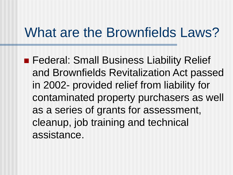#### What are the Brownfields Laws?

**Federal: Small Business Liability Relief** and Brownfields Revitalization Act passed in 2002- provided relief from liability for contaminated property purchasers as well as a series of grants for assessment, cleanup, job training and technical assistance.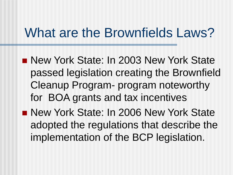#### What are the Brownfields Laws?

- **New York State: In 2003 New York State** passed legislation creating the Brownfield Cleanup Program- program noteworthy for BOA grants and tax incentives
- **New York State: In 2006 New York State** adopted the regulations that describe the implementation of the BCP legislation.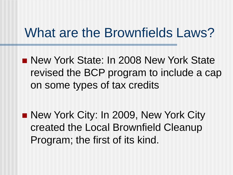#### What are the Brownfields Laws?

**New York State: In 2008 New York State** revised the BCP program to include a cap on some types of tax credits

■ New York City: In 2009, New York City created the Local Brownfield Cleanup Program; the first of its kind.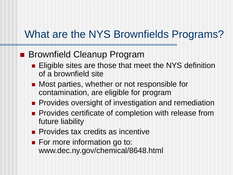#### What are the NYS Brownfields Programs?

#### **Brownfield Cleanup Program**

- **Eligible sites are those that meet the NYS definition** of a brownfield site
- Most parties, whether or not responsible for contamination, are eligible for program
- **Provides oversight of investigation and remediation**
- **Provides certificate of completion with release from** future liability
- **Provides tax credits as incentive**
- **For more information go to:** www.dec.ny.gov/chemical/8648.html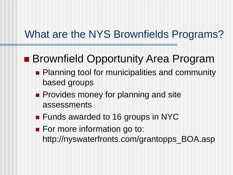#### What are the NYS Brownfields Programs?

#### ■ Brownfield Opportunity Area Program

- **Planning tool for municipalities and community** based groups
- **Provides money for planning and site** assessments
- **Funds awarded to 16 groups in NYC**
- For more information go to: http://nyswaterfronts.com/grantopps\_BOA.asp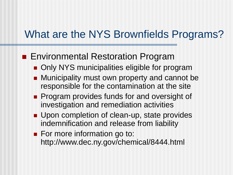#### What are the NYS Brownfields Programs?

#### **Environmental Restoration Program**

- **Only NYS municipalities eligible for program**
- **Municipality must own property and cannot be** responsible for the contamination at the site
- **Program provides funds for and oversight of** investigation and remediation activities
- **Upon completion of clean-up, state provides** indemnification and release from liability
- **For more information go to:** http://www.dec.ny.gov/chemical/8444.html